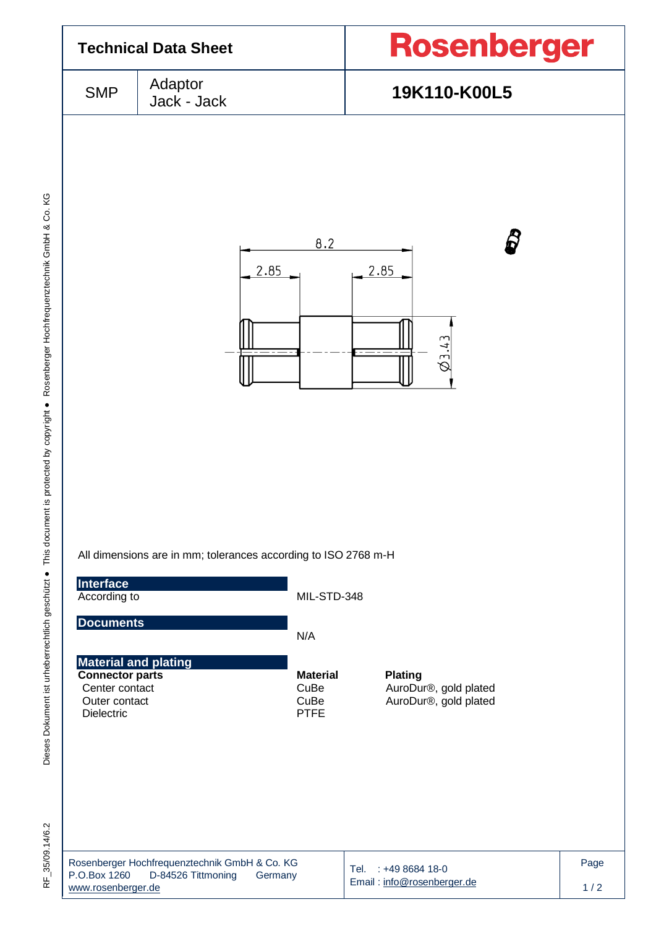

RF 35/09.14/6.2